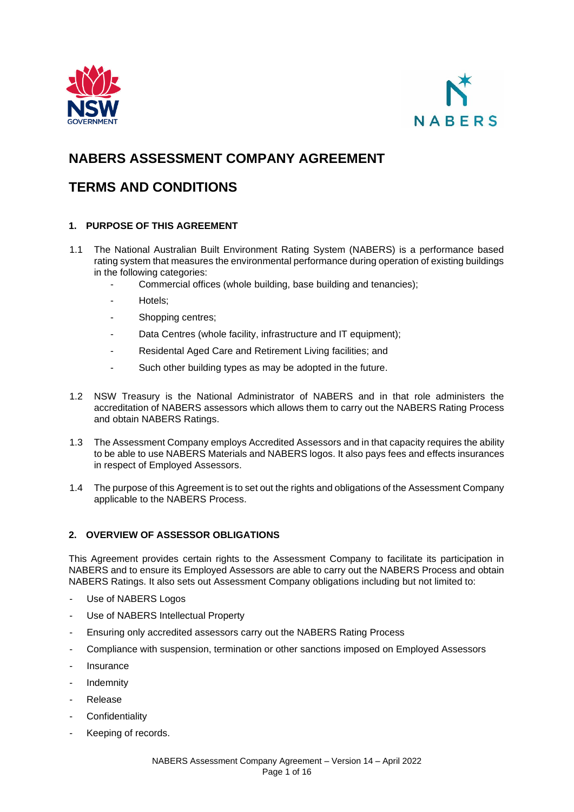



# **NABERS ASSESSMENT COMPANY AGREEMENT**

# **TERMS AND CONDITIONS**

# **1. PURPOSE OF THIS AGREEMENT**

- 1.1 The National Australian Built Environment Rating System (NABERS) is a performance based rating system that measures the environmental performance during operation of existing buildings in the following categories:
	- Commercial offices (whole building, base building and tenancies);
	- Hotels;
	- Shopping centres;
	- Data Centres (whole facility, infrastructure and IT equipment);
	- Residental Aged Care and Retirement Living facilities; and
	- Such other building types as may be adopted in the future.
- 1.2 NSW Treasury is the National Administrator of NABERS and in that role administers the accreditation of NABERS assessors which allows them to carry out the NABERS Rating Process and obtain NABERS Ratings.
- 1.3 The Assessment Company employs Accredited Assessors and in that capacity requires the ability to be able to use NABERS Materials and NABERS logos. It also pays fees and effects insurances in respect of Employed Assessors.
- 1.4 The purpose of this Agreement is to set out the rights and obligations of the Assessment Company applicable to the NABERS Process.

# **2. OVERVIEW OF ASSESSOR OBLIGATIONS**

This Agreement provides certain rights to the Assessment Company to facilitate its participation in NABERS and to ensure its Employed Assessors are able to carry out the NABERS Process and obtain NABERS Ratings. It also sets out Assessment Company obligations including but not limited to:

- Use of NABERS Logos
- Use of NABERS Intellectual Property
- Ensuring only accredited assessors carry out the NABERS Rating Process
- Compliance with suspension, termination or other sanctions imposed on Employed Assessors
- **Insurance**
- **Indemnity**
- **Release**
- Confidentiality
- Keeping of records.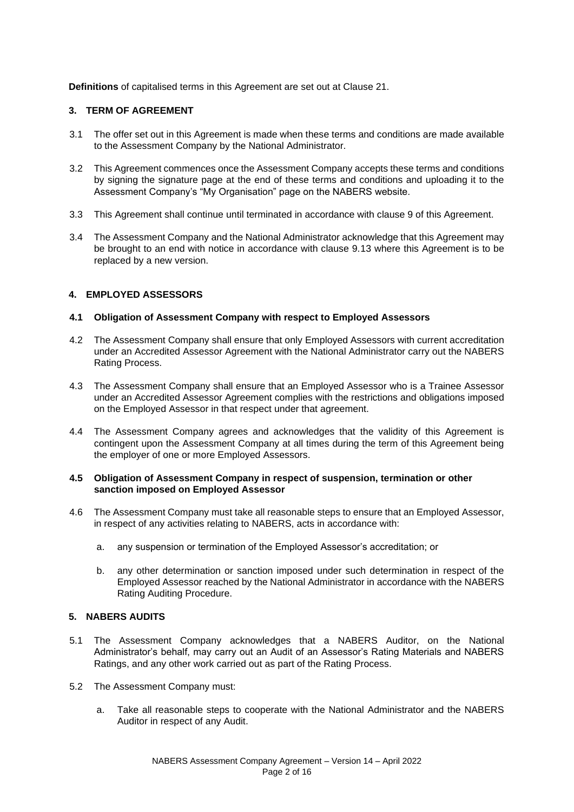**Definitions** of capitalised terms in this Agreement are set out at Clause 21.

## **3. TERM OF AGREEMENT**

- 3.1 The offer set out in this Agreement is made when these terms and conditions are made available to the Assessment Company by the National Administrator.
- 3.2 This Agreement commences once the Assessment Company accepts these terms and conditions by signing the signature page at the end of these terms and conditions and uploading it to the Assessment Company's "My Organisation" page on the NABERS website.
- 3.3 This Agreement shall continue until terminated in accordance with clause 9 of this Agreement.
- 3.4 The Assessment Company and the National Administrator acknowledge that this Agreement may be brought to an end with notice in accordance with clause 9.13 where this Agreement is to be replaced by a new version.

#### **4. EMPLOYED ASSESSORS**

#### **4.1 Obligation of Assessment Company with respect to Employed Assessors**

- 4.2 The Assessment Company shall ensure that only Employed Assessors with current accreditation under an Accredited Assessor Agreement with the National Administrator carry out the NABERS Rating Process.
- 4.3 The Assessment Company shall ensure that an Employed Assessor who is a Trainee Assessor under an Accredited Assessor Agreement complies with the restrictions and obligations imposed on the Employed Assessor in that respect under that agreement.
- 4.4 The Assessment Company agrees and acknowledges that the validity of this Agreement is contingent upon the Assessment Company at all times during the term of this Agreement being the employer of one or more Employed Assessors.

#### **4.5 Obligation of Assessment Company in respect of suspension, termination or other sanction imposed on Employed Assessor**

- 4.6 The Assessment Company must take all reasonable steps to ensure that an Employed Assessor, in respect of any activities relating to NABERS, acts in accordance with:
	- a. any suspension or termination of the Employed Assessor's accreditation; or
	- b. any other determination or sanction imposed under such determination in respect of the Employed Assessor reached by the National Administrator in accordance with the NABERS Rating Auditing Procedure.

#### **5. NABERS AUDITS**

- 5.1 The Assessment Company acknowledges that a NABERS Auditor, on the National Administrator's behalf, may carry out an Audit of an Assessor's Rating Materials and NABERS Ratings, and any other work carried out as part of the Rating Process.
- 5.2 The Assessment Company must:
	- a. Take all reasonable steps to cooperate with the National Administrator and the NABERS Auditor in respect of any Audit.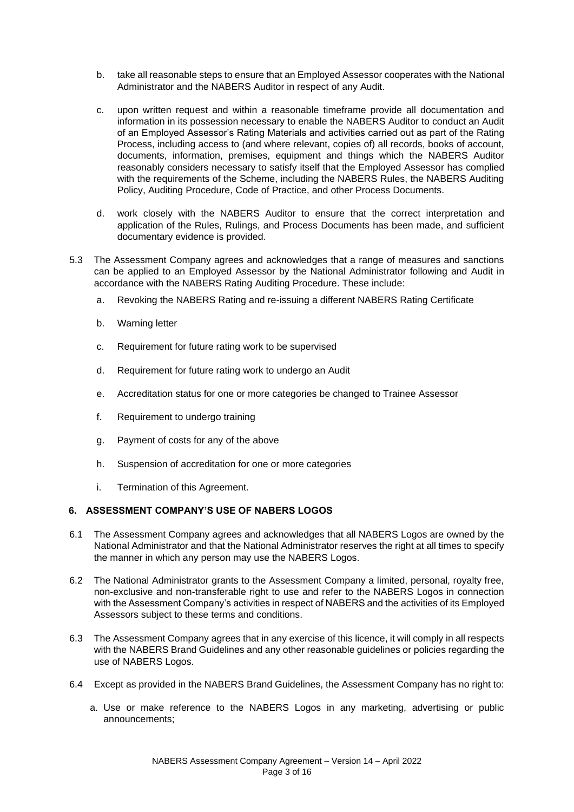- b. take all reasonable steps to ensure that an Employed Assessor cooperates with the National Administrator and the NABERS Auditor in respect of any Audit.
- c. upon written request and within a reasonable timeframe provide all documentation and information in its possession necessary to enable the NABERS Auditor to conduct an Audit of an Employed Assessor's Rating Materials and activities carried out as part of the Rating Process, including access to (and where relevant, copies of) all records, books of account, documents, information, premises, equipment and things which the NABERS Auditor reasonably considers necessary to satisfy itself that the Employed Assessor has complied with the requirements of the Scheme, including the NABERS Rules, the NABERS Auditing Policy, Auditing Procedure, Code of Practice, and other Process Documents.
- d. work closely with the NABERS Auditor to ensure that the correct interpretation and application of the Rules, Rulings, and Process Documents has been made, and sufficient documentary evidence is provided.
- 5.3 The Assessment Company agrees and acknowledges that a range of measures and sanctions can be applied to an Employed Assessor by the National Administrator following and Audit in accordance with the NABERS Rating Auditing Procedure. These include:
	- a. Revoking the NABERS Rating and re-issuing a different NABERS Rating Certificate
	- b. Warning letter
	- c. Requirement for future rating work to be supervised
	- d. Requirement for future rating work to undergo an Audit
	- e. Accreditation status for one or more categories be changed to Trainee Assessor
	- f. Requirement to undergo training
	- g. Payment of costs for any of the above
	- h. Suspension of accreditation for one or more categories
	- i. Termination of this Agreement.

# **6. ASSESSMENT COMPANY'S USE OF NABERS LOGOS**

- 6.1 The Assessment Company agrees and acknowledges that all NABERS Logos are owned by the National Administrator and that the National Administrator reserves the right at all times to specify the manner in which any person may use the NABERS Logos.
- 6.2 The National Administrator grants to the Assessment Company a limited, personal, royalty free, non-exclusive and non-transferable right to use and refer to the NABERS Logos in connection with the Assessment Company's activities in respect of NABERS and the activities of its Employed Assessors subject to these terms and conditions.
- 6.3 The Assessment Company agrees that in any exercise of this licence, it will comply in all respects with the NABERS Brand Guidelines and any other reasonable guidelines or policies regarding the use of NABERS Logos.
- 6.4 Except as provided in the NABERS Brand Guidelines, the Assessment Company has no right to:
	- a. Use or make reference to the NABERS Logos in any marketing, advertising or public announcements;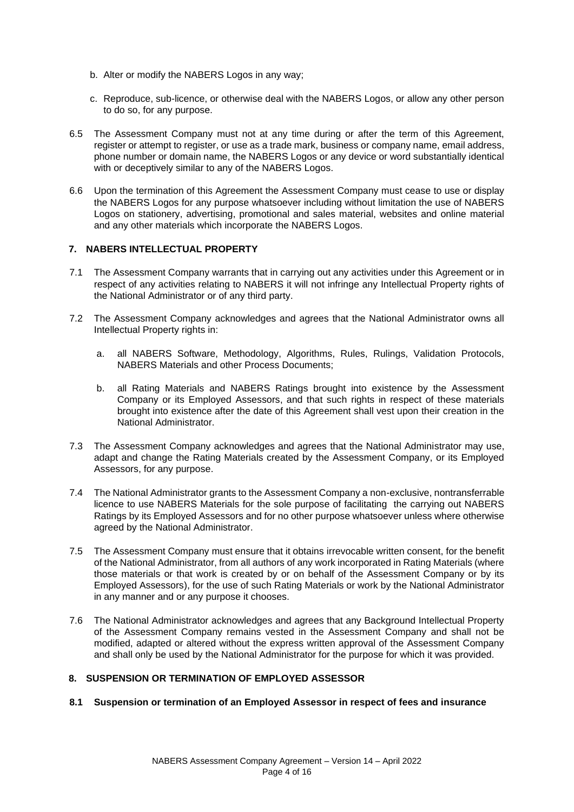- b. Alter or modify the NABERS Logos in any way;
- c. Reproduce, sub-licence, or otherwise deal with the NABERS Logos, or allow any other person to do so, for any purpose.
- 6.5 The Assessment Company must not at any time during or after the term of this Agreement, register or attempt to register, or use as a trade mark, business or company name, email address, phone number or domain name, the NABERS Logos or any device or word substantially identical with or deceptively similar to any of the NABERS Logos.
- 6.6 Upon the termination of this Agreement the Assessment Company must cease to use or display the NABERS Logos for any purpose whatsoever including without limitation the use of NABERS Logos on stationery, advertising, promotional and sales material, websites and online material and any other materials which incorporate the NABERS Logos.

# **7. NABERS INTELLECTUAL PROPERTY**

- 7.1 The Assessment Company warrants that in carrying out any activities under this Agreement or in respect of any activities relating to NABERS it will not infringe any Intellectual Property rights of the National Administrator or of any third party.
- 7.2 The Assessment Company acknowledges and agrees that the National Administrator owns all Intellectual Property rights in:
	- a. all NABERS Software, Methodology, Algorithms, Rules, Rulings, Validation Protocols, NABERS Materials and other Process Documents;
	- b. all Rating Materials and NABERS Ratings brought into existence by the Assessment Company or its Employed Assessors, and that such rights in respect of these materials brought into existence after the date of this Agreement shall vest upon their creation in the National Administrator.
- 7.3 The Assessment Company acknowledges and agrees that the National Administrator may use, adapt and change the Rating Materials created by the Assessment Company, or its Employed Assessors, for any purpose.
- 7.4 The National Administrator grants to the Assessment Company a non-exclusive, nontransferrable licence to use NABERS Materials for the sole purpose of facilitating the carrying out NABERS Ratings by its Employed Assessors and for no other purpose whatsoever unless where otherwise agreed by the National Administrator.
- 7.5 The Assessment Company must ensure that it obtains irrevocable written consent, for the benefit of the National Administrator, from all authors of any work incorporated in Rating Materials (where those materials or that work is created by or on behalf of the Assessment Company or by its Employed Assessors), for the use of such Rating Materials or work by the National Administrator in any manner and or any purpose it chooses.
- 7.6 The National Administrator acknowledges and agrees that any Background Intellectual Property of the Assessment Company remains vested in the Assessment Company and shall not be modified, adapted or altered without the express written approval of the Assessment Company and shall only be used by the National Administrator for the purpose for which it was provided.

# **8. SUSPENSION OR TERMINATION OF EMPLOYED ASSESSOR**

# **8.1 Suspension or termination of an Employed Assessor in respect of fees and insurance**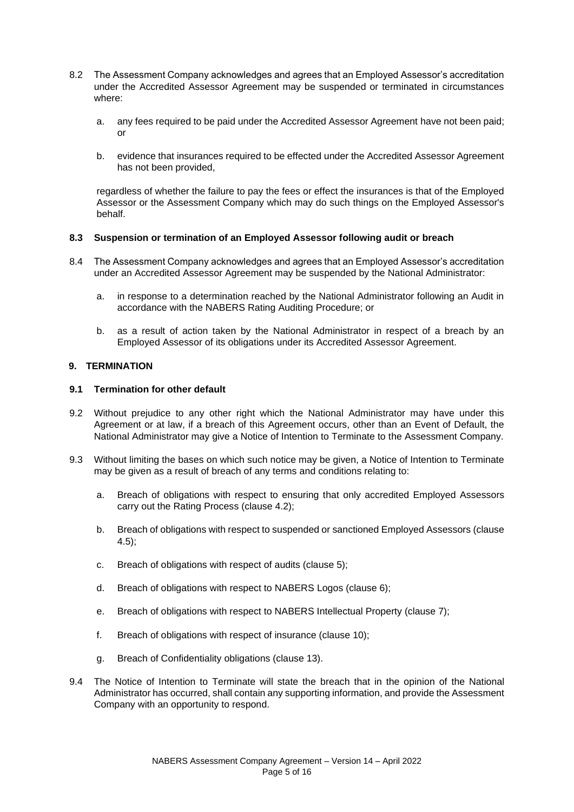- 8.2 The Assessment Company acknowledges and agrees that an Employed Assessor's accreditation under the Accredited Assessor Agreement may be suspended or terminated in circumstances where:
	- a. any fees required to be paid under the Accredited Assessor Agreement have not been paid; or
	- b. evidence that insurances required to be effected under the Accredited Assessor Agreement has not been provided,

regardless of whether the failure to pay the fees or effect the insurances is that of the Employed Assessor or the Assessment Company which may do such things on the Employed Assessor's behalf.

#### **8.3 Suspension or termination of an Employed Assessor following audit or breach**

- 8.4 The Assessment Company acknowledges and agrees that an Employed Assessor's accreditation under an Accredited Assessor Agreement may be suspended by the National Administrator:
	- a. in response to a determination reached by the National Administrator following an Audit in accordance with the NABERS Rating Auditing Procedure; or
	- b. as a result of action taken by the National Administrator in respect of a breach by an Employed Assessor of its obligations under its Accredited Assessor Agreement.

## **9. TERMINATION**

#### **9.1 Termination for other default**

- 9.2 Without prejudice to any other right which the National Administrator may have under this Agreement or at law, if a breach of this Agreement occurs, other than an Event of Default, the National Administrator may give a Notice of Intention to Terminate to the Assessment Company.
- 9.3 Without limiting the bases on which such notice may be given, a Notice of Intention to Terminate may be given as a result of breach of any terms and conditions relating to:
	- a. Breach of obligations with respect to ensuring that only accredited Employed Assessors carry out the Rating Process (clause 4.2);
	- b. Breach of obligations with respect to suspended or sanctioned Employed Assessors (clause 4.5);
	- c. Breach of obligations with respect of audits (clause 5);
	- d. Breach of obligations with respect to NABERS Logos (clause 6);
	- e. Breach of obligations with respect to NABERS Intellectual Property (clause 7);
	- f. Breach of obligations with respect of insurance (clause 10);
	- g. Breach of Confidentiality obligations (clause 13).
- 9.4 The Notice of Intention to Terminate will state the breach that in the opinion of the National Administrator has occurred, shall contain any supporting information, and provide the Assessment Company with an opportunity to respond.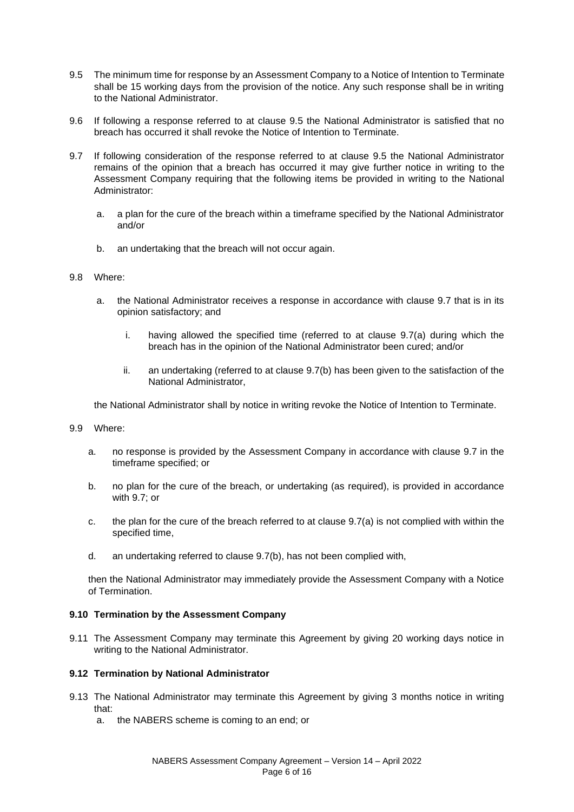- 9.5 The minimum time for response by an Assessment Company to a Notice of Intention to Terminate shall be 15 working days from the provision of the notice. Any such response shall be in writing to the National Administrator.
- 9.6 If following a response referred to at clause 9.5 the National Administrator is satisfied that no breach has occurred it shall revoke the Notice of Intention to Terminate.
- 9.7 If following consideration of the response referred to at clause 9.5 the National Administrator remains of the opinion that a breach has occurred it may give further notice in writing to the Assessment Company requiring that the following items be provided in writing to the National Administrator:
	- a. a plan for the cure of the breach within a timeframe specified by the National Administrator and/or
	- b. an undertaking that the breach will not occur again.
- 9.8 Where:
	- a. the National Administrator receives a response in accordance with clause 9.7 that is in its opinion satisfactory; and
		- i. having allowed the specified time (referred to at clause 9.7(a) during which the breach has in the opinion of the National Administrator been cured; and/or
		- ii. an undertaking (referred to at clause 9.7(b) has been given to the satisfaction of the National Administrator,

the National Administrator shall by notice in writing revoke the Notice of Intention to Terminate.

- 9.9 Where:
	- a. no response is provided by the Assessment Company in accordance with clause 9.7 in the timeframe specified; or
	- b. no plan for the cure of the breach, or undertaking (as required), is provided in accordance with 9.7; or
	- c. the plan for the cure of the breach referred to at clause 9.7(a) is not complied with within the specified time,
	- d. an undertaking referred to clause 9.7(b), has not been complied with,

then the National Administrator may immediately provide the Assessment Company with a Notice of Termination.

# **9.10 Termination by the Assessment Company**

9.11 The Assessment Company may terminate this Agreement by giving 20 working days notice in writing to the National Administrator.

# **9.12 Termination by National Administrator**

- 9.13 The National Administrator may terminate this Agreement by giving 3 months notice in writing that:
	- a. the NABERS scheme is coming to an end; or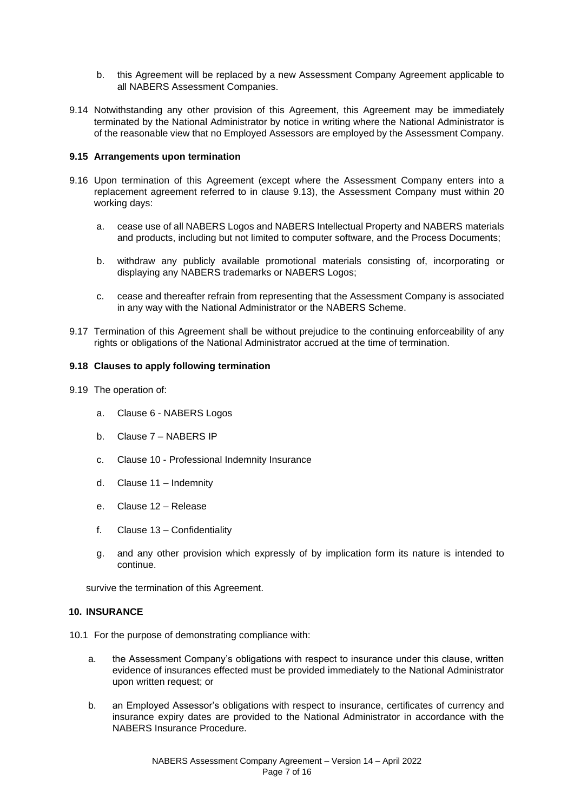- b. this Agreement will be replaced by a new Assessment Company Agreement applicable to all NABERS Assessment Companies.
- 9.14 Notwithstanding any other provision of this Agreement, this Agreement may be immediately terminated by the National Administrator by notice in writing where the National Administrator is of the reasonable view that no Employed Assessors are employed by the Assessment Company.

#### **9.15 Arrangements upon termination**

- 9.16 Upon termination of this Agreement (except where the Assessment Company enters into a replacement agreement referred to in clause 9.13), the Assessment Company must within 20 working days:
	- a. cease use of all NABERS Logos and NABERS Intellectual Property and NABERS materials and products, including but not limited to computer software, and the Process Documents;
	- b. withdraw any publicly available promotional materials consisting of, incorporating or displaying any NABERS trademarks or NABERS Logos;
	- c. cease and thereafter refrain from representing that the Assessment Company is associated in any way with the National Administrator or the NABERS Scheme.
- 9.17 Termination of this Agreement shall be without prejudice to the continuing enforceability of any rights or obligations of the National Administrator accrued at the time of termination.

## **9.18 Clauses to apply following termination**

- 9.19 The operation of:
	- a. Clause 6 NABERS Logos
	- b. Clause 7 NABERS IP
	- c. Clause 10 Professional Indemnity Insurance
	- d. Clause 11 Indemnity
	- e. Clause 12 Release
	- f. Clause 13 Confidentiality
	- g. and any other provision which expressly of by implication form its nature is intended to continue.

survive the termination of this Agreement.

#### **10. INSURANCE**

10.1 For the purpose of demonstrating compliance with:

- a. the Assessment Company's obligations with respect to insurance under this clause, written evidence of insurances effected must be provided immediately to the National Administrator upon written request; or
- b. an Employed Assessor's obligations with respect to insurance, certificates of currency and insurance expiry dates are provided to the National Administrator in accordance with the NABERS Insurance Procedure.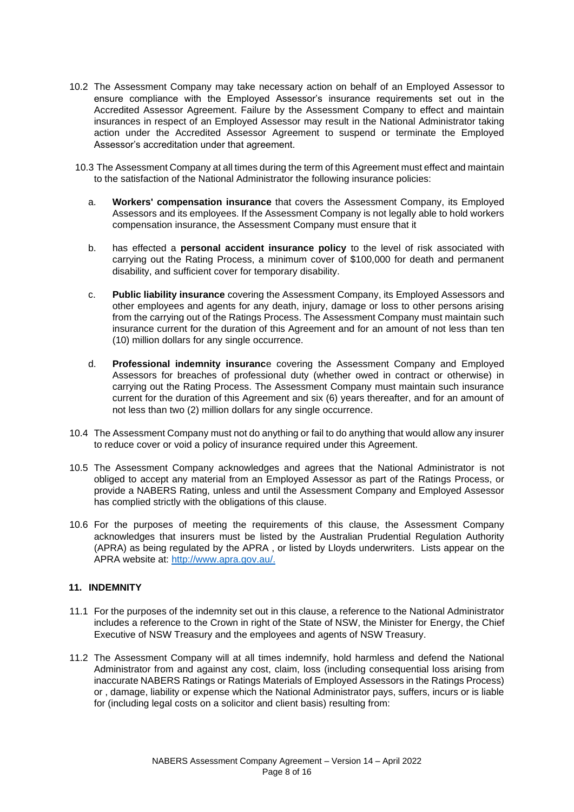- 10.2 The Assessment Company may take necessary action on behalf of an Employed Assessor to ensure compliance with the Employed Assessor's insurance requirements set out in the Accredited Assessor Agreement. Failure by the Assessment Company to effect and maintain insurances in respect of an Employed Assessor may result in the National Administrator taking action under the Accredited Assessor Agreement to suspend or terminate the Employed Assessor's accreditation under that agreement.
- 10.3 The Assessment Company at all times during the term of this Agreement must effect and maintain to the satisfaction of the National Administrator the following insurance policies:
	- a. **Workers' compensation insurance** that covers the Assessment Company, its Employed Assessors and its employees. If the Assessment Company is not legally able to hold workers compensation insurance, the Assessment Company must ensure that it
	- b. has effected a **personal accident insurance policy** to the level of risk associated with carrying out the Rating Process, a minimum cover of \$100,000 for death and permanent disability, and sufficient cover for temporary disability.
	- c. **Public liability insurance** covering the Assessment Company, its Employed Assessors and other employees and agents for any death, injury, damage or loss to other persons arising from the carrying out of the Ratings Process. The Assessment Company must maintain such insurance current for the duration of this Agreement and for an amount of not less than ten (10) million dollars for any single occurrence.
	- d. **Professional indemnity insuranc**e covering the Assessment Company and Employed Assessors for breaches of professional duty (whether owed in contract or otherwise) in carrying out the Rating Process. The Assessment Company must maintain such insurance current for the duration of this Agreement and six (6) years thereafter, and for an amount of not less than two (2) million dollars for any single occurrence.
- 10.4 The Assessment Company must not do anything or fail to do anything that would allow any insurer to reduce cover or void a policy of insurance required under this Agreement.
- 10.5 The Assessment Company acknowledges and agrees that the National Administrator is not obliged to accept any material from an Employed Assessor as part of the Ratings Process, or provide a NABERS Rating, unless and until the Assessment Company and Employed Assessor has complied strictly with the obligations of this clause.
- 10.6 For the purposes of meeting the requirements of this clause, the Assessment Company acknowledges that insurers must be listed by the Australian Prudential Regulation Authority (APRA) as being regulated by the APRA , or listed by Lloyds underwriters. Lists appear on the APRA website at: [http://www.apra.gov.au/.](http://www.apra.gov.au/)

# **11. INDEMNITY**

- 11.1 For the purposes of the indemnity set out in this clause, a reference to the National Administrator includes a reference to the Crown in right of the State of NSW, the Minister for Energy, the Chief Executive of NSW Treasury and the employees and agents of NSW Treasury.
- 11.2 The Assessment Company will at all times indemnify, hold harmless and defend the National Administrator from and against any cost, claim, loss (including consequential loss arising from inaccurate NABERS Ratings or Ratings Materials of Employed Assessors in the Ratings Process) or , damage, liability or expense which the National Administrator pays, suffers, incurs or is liable for (including legal costs on a solicitor and client basis) resulting from: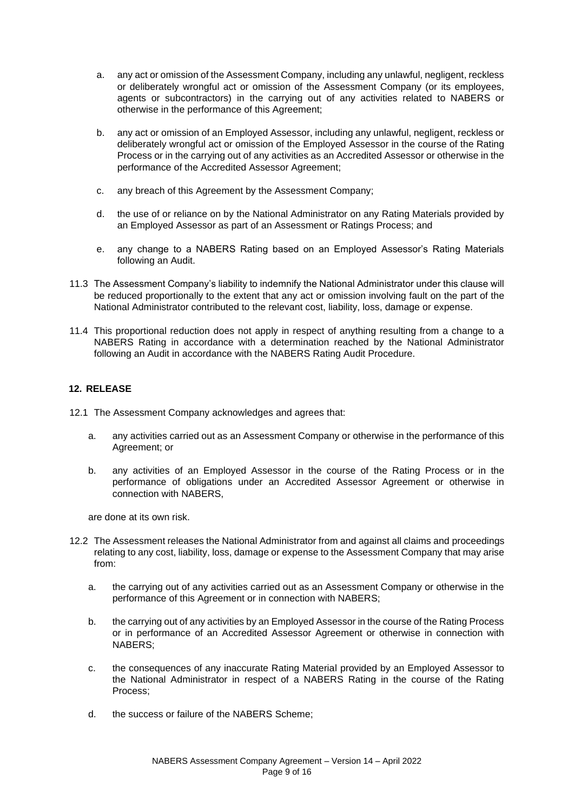- a. any act or omission of the Assessment Company, including any unlawful, negligent, reckless or deliberately wrongful act or omission of the Assessment Company (or its employees, agents or subcontractors) in the carrying out of any activities related to NABERS or otherwise in the performance of this Agreement;
- b. any act or omission of an Employed Assessor, including any unlawful, negligent, reckless or deliberately wrongful act or omission of the Employed Assessor in the course of the Rating Process or in the carrying out of any activities as an Accredited Assessor or otherwise in the performance of the Accredited Assessor Agreement;
- c. any breach of this Agreement by the Assessment Company;
- d. the use of or reliance on by the National Administrator on any Rating Materials provided by an Employed Assessor as part of an Assessment or Ratings Process; and
- e. any change to a NABERS Rating based on an Employed Assessor's Rating Materials following an Audit.
- 11.3 The Assessment Company's liability to indemnify the National Administrator under this clause will be reduced proportionally to the extent that any act or omission involving fault on the part of the National Administrator contributed to the relevant cost, liability, loss, damage or expense.
- 11.4 This proportional reduction does not apply in respect of anything resulting from a change to a NABERS Rating in accordance with a determination reached by the National Administrator following an Audit in accordance with the NABERS Rating Audit Procedure.

## **12. RELEASE**

- 12.1 The Assessment Company acknowledges and agrees that:
	- a. any activities carried out as an Assessment Company or otherwise in the performance of this Agreement; or
	- b. any activities of an Employed Assessor in the course of the Rating Process or in the performance of obligations under an Accredited Assessor Agreement or otherwise in connection with NABERS,

are done at its own risk.

- 12.2 The Assessment releases the National Administrator from and against all claims and proceedings relating to any cost, liability, loss, damage or expense to the Assessment Company that may arise from:
	- a. the carrying out of any activities carried out as an Assessment Company or otherwise in the performance of this Agreement or in connection with NABERS;
	- b. the carrying out of any activities by an Employed Assessor in the course of the Rating Process or in performance of an Accredited Assessor Agreement or otherwise in connection with NABERS;
	- c. the consequences of any inaccurate Rating Material provided by an Employed Assessor to the National Administrator in respect of a NABERS Rating in the course of the Rating Process;
	- d. the success or failure of the NABERS Scheme;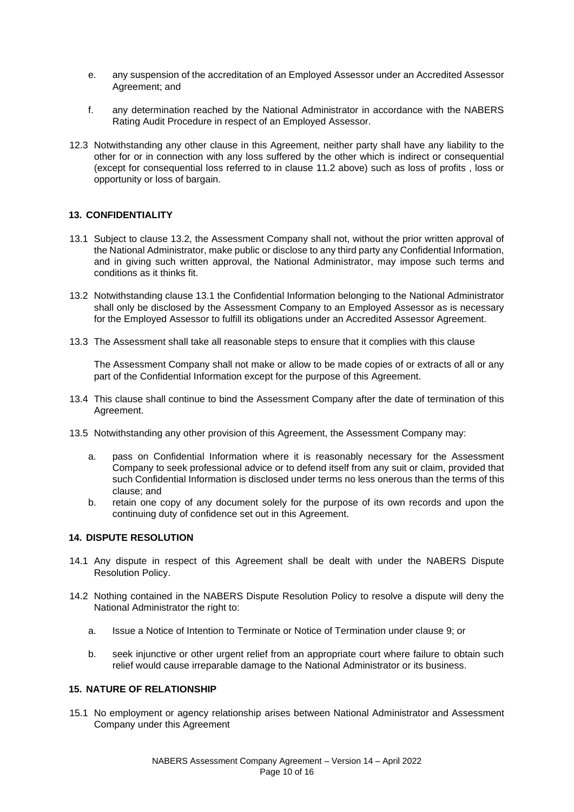- e. any suspension of the accreditation of an Employed Assessor under an Accredited Assessor Agreement; and
- f. any determination reached by the National Administrator in accordance with the NABERS Rating Audit Procedure in respect of an Employed Assessor.
- 12.3 Notwithstanding any other clause in this Agreement, neither party shall have any liability to the other for or in connection with any loss suffered by the other which is indirect or consequential (except for consequential loss referred to in clause 11.2 above) such as loss of profits , loss or opportunity or loss of bargain.

#### **13. CONFIDENTIALITY**

- 13.1 Subject to clause 13.2, the Assessment Company shall not, without the prior written approval of the National Administrator, make public or disclose to any third party any Confidential Information, and in giving such written approval, the National Administrator, may impose such terms and conditions as it thinks fit.
- 13.2 Notwithstanding clause 13.1 the Confidential Information belonging to the National Administrator shall only be disclosed by the Assessment Company to an Employed Assessor as is necessary for the Employed Assessor to fulfill its obligations under an Accredited Assessor Agreement.
- 13.3 The Assessment shall take all reasonable steps to ensure that it complies with this clause

The Assessment Company shall not make or allow to be made copies of or extracts of all or any part of the Confidential Information except for the purpose of this Agreement.

- 13.4 This clause shall continue to bind the Assessment Company after the date of termination of this Agreement.
- 13.5 Notwithstanding any other provision of this Agreement, the Assessment Company may:
	- a. pass on Confidential Information where it is reasonably necessary for the Assessment Company to seek professional advice or to defend itself from any suit or claim, provided that such Confidential Information is disclosed under terms no less onerous than the terms of this clause; and
	- b. retain one copy of any document solely for the purpose of its own records and upon the continuing duty of confidence set out in this Agreement.

## **14. DISPUTE RESOLUTION**

- 14.1 Any dispute in respect of this Agreement shall be dealt with under the NABERS Dispute Resolution Policy.
- 14.2 Nothing contained in the NABERS Dispute Resolution Policy to resolve a dispute will deny the National Administrator the right to:
	- a. Issue a Notice of Intention to Terminate or Notice of Termination under clause 9; or
	- b. seek injunctive or other urgent relief from an appropriate court where failure to obtain such relief would cause irreparable damage to the National Administrator or its business.

#### **15. NATURE OF RELATIONSHIP**

15.1 No employment or agency relationship arises between National Administrator and Assessment Company under this Agreement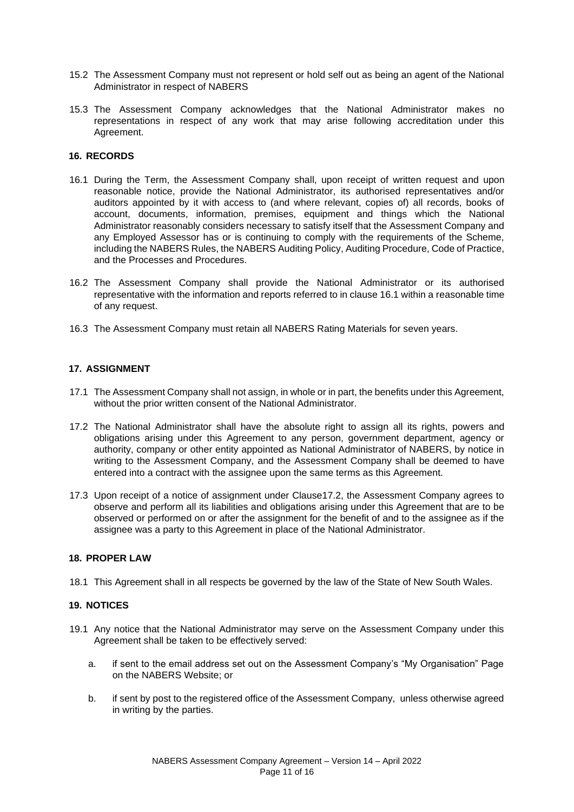- 15.2 The Assessment Company must not represent or hold self out as being an agent of the National Administrator in respect of NABERS
- 15.3 The Assessment Company acknowledges that the National Administrator makes no representations in respect of any work that may arise following accreditation under this Agreement.

# **16. RECORDS**

- 16.1 During the Term, the Assessment Company shall, upon receipt of written request and upon reasonable notice, provide the National Administrator, its authorised representatives and/or auditors appointed by it with access to (and where relevant, copies of) all records, books of account, documents, information, premises, equipment and things which the National Administrator reasonably considers necessary to satisfy itself that the Assessment Company and any Employed Assessor has or is continuing to comply with the requirements of the Scheme, including the NABERS Rules, the NABERS Auditing Policy, Auditing Procedure, Code of Practice, and the Processes and Procedures.
- 16.2 The Assessment Company shall provide the National Administrator or its authorised representative with the information and reports referred to in clause 16.1 within a reasonable time of any request.
- 16.3 The Assessment Company must retain all NABERS Rating Materials for seven years.

# **17. ASSIGNMENT**

- 17.1 The Assessment Company shall not assign, in whole or in part, the benefits under this Agreement, without the prior written consent of the National Administrator.
- 17.2 The National Administrator shall have the absolute right to assign all its rights, powers and obligations arising under this Agreement to any person, government department, agency or authority, company or other entity appointed as National Administrator of NABERS, by notice in writing to the Assessment Company, and the Assessment Company shall be deemed to have entered into a contract with the assignee upon the same terms as this Agreement.
- 17.3 Upon receipt of a notice of assignment under Clause17.2, the Assessment Company agrees to observe and perform all its liabilities and obligations arising under this Agreement that are to be observed or performed on or after the assignment for the benefit of and to the assignee as if the assignee was a party to this Agreement in place of the National Administrator.

#### **18. PROPER LAW**

18.1 This Agreement shall in all respects be governed by the law of the State of New South Wales.

# **19. NOTICES**

- 19.1 Any notice that the National Administrator may serve on the Assessment Company under this Agreement shall be taken to be effectively served:
	- a. if sent to the email address set out on the Assessment Company's "My Organisation" Page on the NABERS Website; or
	- b. if sent by post to the registered office of the Assessment Company, unless otherwise agreed in writing by the parties.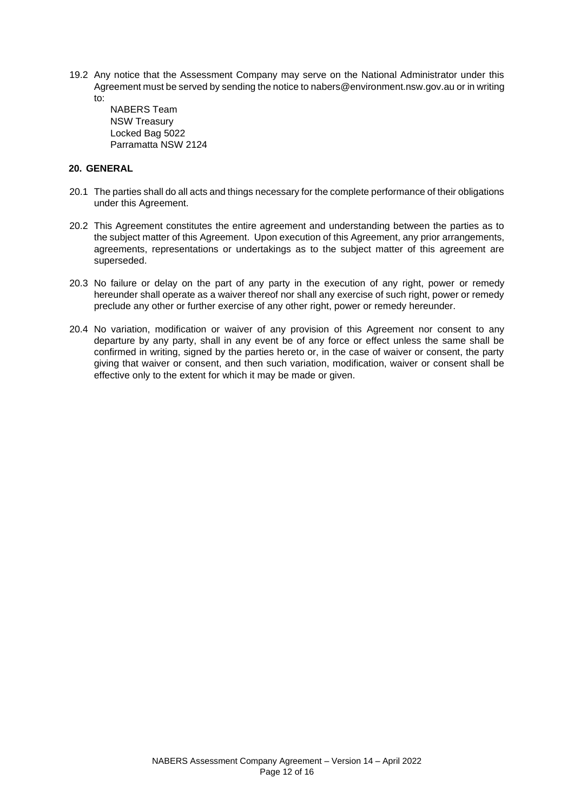19.2 Any notice that the Assessment Company may serve on the National Administrator under this Agreement must be served by sending the notice to nabers@environment.nsw.gov.au or in writing to:

NABERS Team NSW Treasury Locked Bag 5022 Parramatta NSW 2124

# **20. GENERAL**

- 20.1 The parties shall do all acts and things necessary for the complete performance of their obligations under this Agreement.
- 20.2 This Agreement constitutes the entire agreement and understanding between the parties as to the subject matter of this Agreement. Upon execution of this Agreement, any prior arrangements, agreements, representations or undertakings as to the subject matter of this agreement are superseded.
- 20.3 No failure or delay on the part of any party in the execution of any right, power or remedy hereunder shall operate as a waiver thereof nor shall any exercise of such right, power or remedy preclude any other or further exercise of any other right, power or remedy hereunder.
- 20.4 No variation, modification or waiver of any provision of this Agreement nor consent to any departure by any party, shall in any event be of any force or effect unless the same shall be confirmed in writing, signed by the parties hereto or, in the case of waiver or consent, the party giving that waiver or consent, and then such variation, modification, waiver or consent shall be effective only to the extent for which it may be made or given.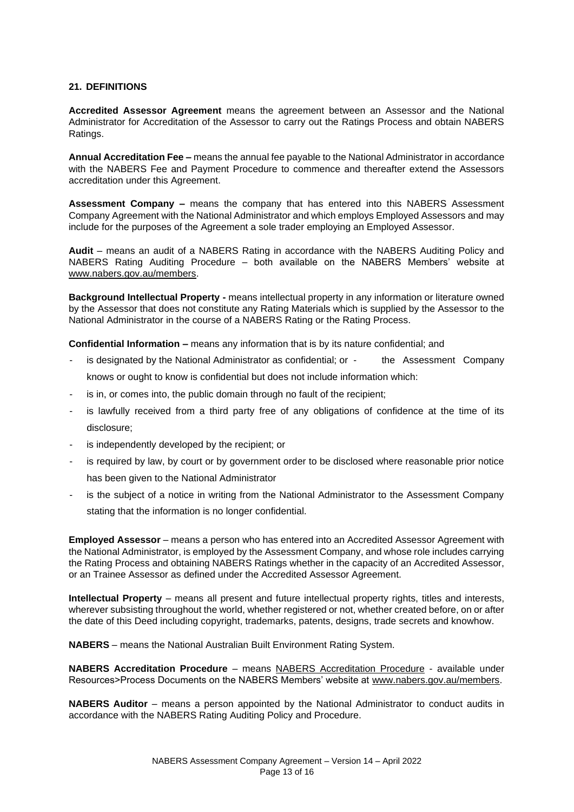# **21. DEFINITIONS**

**Accredited Assessor Agreement** means the agreement between an Assessor and the National Administrator for Accreditation of the Assessor to carry out the Ratings Process and obtain NABERS Ratings.

**Annual Accreditation Fee –** means the annual fee payable to the National Administrator in accordance with the NABERS Fee and Payment Procedure to commence and thereafter extend the Assessors accreditation under this Agreement.

**Assessment Company –** means the company that has entered into this NABERS Assessment Company Agreement with the National Administrator and which employs Employed Assessors and may include for the purposes of the Agreement a sole trader employing an Employed Assessor.

**Audit** – means an audit of a NABERS Rating in accordance with the NABERS Auditing Policy and NABERS Rating Auditing Procedure – both available on the NABERS Members' website at www.nabers.gov.au/members.

**Background Intellectual Property -** means intellectual property in any information or literature owned by the Assessor that does not constitute any Rating Materials which is supplied by the Assessor to the National Administrator in the course of a NABERS Rating or the Rating Process.

**Confidential Information –** means any information that is by its nature confidential; and

- is designated by the National Administrator as confidential; or the Assessment Company knows or ought to know is confidential but does not include information which:
- is in, or comes into, the public domain through no fault of the recipient;
- is lawfully received from a third party free of any obligations of confidence at the time of its disclosure;
- is independently developed by the recipient; or
- is required by law, by court or by government order to be disclosed where reasonable prior notice has been given to the National Administrator
- is the subject of a notice in writing from the National Administrator to the Assessment Company stating that the information is no longer confidential.

**Employed Assessor** – means a person who has entered into an Accredited Assessor Agreement with the National Administrator, is employed by the Assessment Company, and whose role includes carrying the Rating Process and obtaining NABERS Ratings whether in the capacity of an Accredited Assessor, or an Trainee Assessor as defined under the Accredited Assessor Agreement.

**Intellectual Property** – means all present and future intellectual property rights, titles and interests, wherever subsisting throughout the world, whether registered or not, whether created before, on or after the date of this Deed including copyright, trademarks, patents, designs, trade secrets and knowhow.

**NABERS** – means the National Australian Built Environment Rating System.

**NABERS Accreditation Procedure** – means NABERS Accreditation Procedure - available under Resources>Process Documents on the NABERS Members' website at www.nabers.gov.au/members.

**NABERS Auditor** – means a person appointed by the National Administrator to conduct audits in accordance with the NABERS Rating Auditing Policy and Procedure.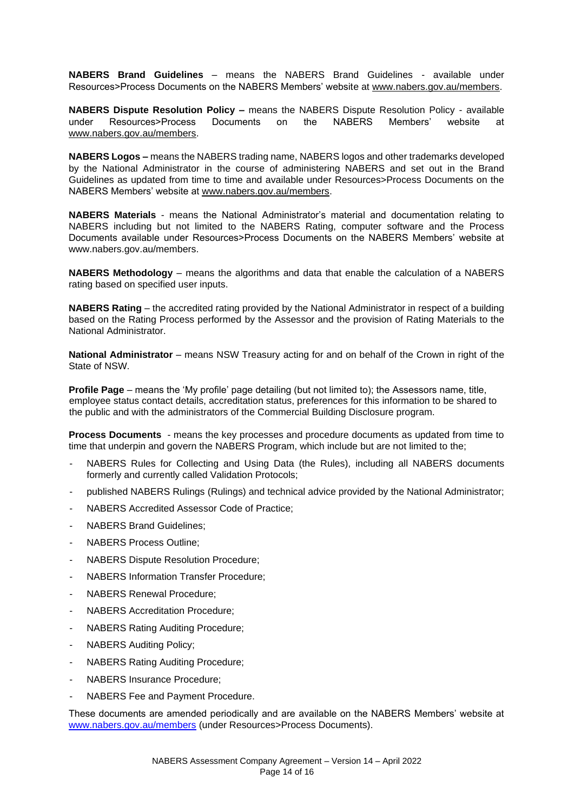**NABERS Brand Guidelines** – means the NABERS Brand Guidelines - available under Resources>Process Documents on the NABERS Members' website at www.nabers.gov.au/members.

**NABERS Dispute Resolution Policy –** means the NABERS Dispute Resolution Policy - available under Resources>Process Documents on the NABERS Members' website at www.nabers.gov.au/members.

**NABERS Logos –** means the NABERS trading name, NABERS logos and other trademarks developed by the National Administrator in the course of administering NABERS and set out in the Brand Guidelines as updated from time to time and available under Resources>Process Documents on the NABERS Members' website at www.nabers.gov.au/members.

**NABERS Materials** - means the National Administrator's material and documentation relating to NABERS including but not limited to the NABERS Rating, computer software and the Process Documents available under Resources>Process Documents on the NABERS Members' website at www.nabers.gov.au/members.

**NABERS Methodology** – means the algorithms and data that enable the calculation of a NABERS rating based on specified user inputs.

**NABERS Rating** – the accredited rating provided by the National Administrator in respect of a building based on the Rating Process performed by the Assessor and the provision of Rating Materials to the National Administrator.

**National Administrator** – means NSW Treasury acting for and on behalf of the Crown in right of the State of NSW.

**Profile Page** – means the 'My profile' page detailing (but not limited to); the Assessors name, title, employee status contact details, accreditation status, preferences for this information to be shared to the public and with the administrators of the Commercial Building Disclosure program.

**Process Documents** - means the key processes and procedure documents as updated from time to time that underpin and govern the NABERS Program, which include but are not limited to the;

- NABERS Rules for Collecting and Using Data (the Rules), including all NABERS documents formerly and currently called Validation Protocols;
- published NABERS Rulings (Rulings) and technical advice provided by the National Administrator;
- NABERS Accredited Assessor Code of Practice;
- NABERS Brand Guidelines:
- NABERS Process Outline;
- NABERS Dispute Resolution Procedure;
- NABERS Information Transfer Procedure;
- NABERS Renewal Procedure;
- NABERS Accreditation Procedure;
- NABERS Rating Auditing Procedure;
- NABERS Auditing Policy;
- NABERS Rating Auditing Procedure;
- NABERS Insurance Procedure;
- NABERS Fee and Payment Procedure.

These documents are amended periodically and are available on the NABERS Members' website at www.nabers.gov.au/members (under Resources>Process Documents).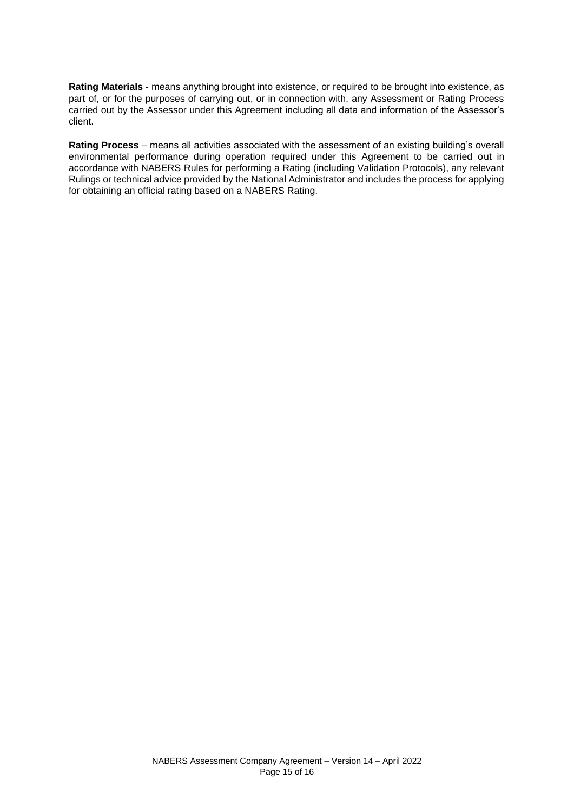**Rating Materials** - means anything brought into existence, or required to be brought into existence, as part of, or for the purposes of carrying out, or in connection with, any Assessment or Rating Process carried out by the Assessor under this Agreement including all data and information of the Assessor's client.

**Rating Process** – means all activities associated with the assessment of an existing building's overall environmental performance during operation required under this Agreement to be carried out in accordance with NABERS Rules for performing a Rating (including Validation Protocols), any relevant Rulings or technical advice provided by the National Administrator and includes the process for applying for obtaining an official rating based on a NABERS Rating.